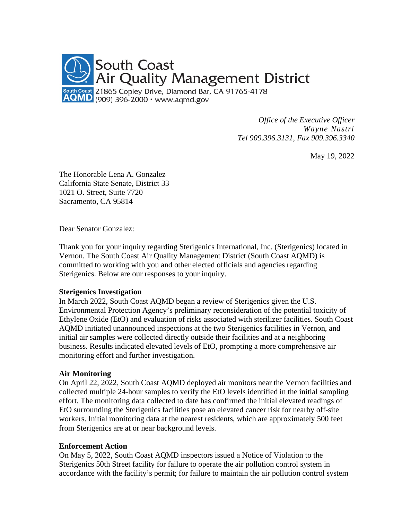

*Office of the Executive Officer Wayne Nastri Tel 909.396.3131, Fax 909.396.3340*

May 19, 2022

The Honorable Lena A. Gonzalez California State Senate, District 33 1021 O. Street, Suite 7720 Sacramento, CA 95814

Dear Senator Gonzalez:

Thank you for your inquiry regarding Sterigenics International, Inc. (Sterigenics) located in Vernon. The South Coast Air Quality Management District (South Coast AQMD) is committed to working with you and other elected officials and agencies regarding Sterigenics. Below are our responses to your inquiry.

### **Sterigenics Investigation**

In March 2022, South Coast AQMD began a review of Sterigenics given the U.S. Environmental Protection Agency's preliminary reconsideration of the potential toxicity of Ethylene Oxide (EtO) and evaluation of risks associated with sterilizer facilities. South Coast AQMD initiated unannounced inspections at the two Sterigenics facilities in Vernon, and initial air samples were collected directly outside their facilities and at a neighboring business. Results indicated elevated levels of EtO, prompting a more comprehensive air monitoring effort and further investigation.

### **Air Monitoring**

On April 22, 2022, South Coast AQMD deployed air monitors near the Vernon facilities and collected multiple 24-hour samples to verify the EtO levels identified in the initial sampling effort. The monitoring data collected to date has confirmed the initial elevated readings of EtO surrounding the Sterigenics facilities pose an elevated cancer risk for nearby off-site workers. Initial monitoring data at the nearest residents, which are approximately 500 feet from Sterigenics are at or near background levels.

### **Enforcement Action**

On May 5, 2022, South Coast AQMD inspectors issued a Notice of Violation to the Sterigenics 50th Street facility for failure to operate the air pollution control system in accordance with the facility's permit; for failure to maintain the air pollution control system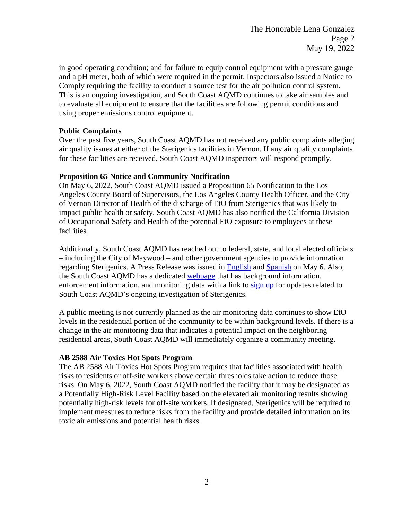in good operating condition; and for failure to equip control equipment with a pressure gauge and a pH meter, both of which were required in the permit. Inspectors also issued a Notice to Comply requiring the facility to conduct a source test for the air pollution control system. This is an ongoing investigation, and South Coast AQMD continues to take air samples and to evaluate all equipment to ensure that the facilities are following permit conditions and using proper emissions control equipment.

### **Public Complaints**

Over the past five years, South Coast AQMD has not received any public complaints alleging air quality issues at either of the Sterigenics facilities in Vernon. If any air quality complaints for these facilities are received, South Coast AQMD inspectors will respond promptly.

## **Proposition 65 Notice and Community Notification**

On May 6, 2022, South Coast AQMD issued a Proposition 65 Notification to the Los Angeles County Board of Supervisors, the Los Angeles County Health Officer, and the City of Vernon Director of Health of the discharge of EtO from Sterigenics that was likely to impact public health or safety. South Coast AQMD has also notified the California Division of Occupational Safety and Health of the potential EtO exposure to employees at these facilities.

Additionally, South Coast AQMD has reached out to federal, state, and local elected officials – including the City of Maywood – and other government agencies to provide information regarding Sterigenics. A Press Release was issued in [English](http://www.aqmd.gov/docs/default-source/news-archive/2022/sterigenics-may6-2022.pdf?sfvrsn=9) and [Spanish](http://www.aqmd.gov/docs/default-source/news-archive/2022/spanish/sterigenics-sp-may6-2022.pdf?sfvrsn=15) on May 6. Also, the South Coast AQMD has a dedicated [webpage](http://www.aqmd.gov/sterigenics) that has background information, enforcement information, and monitoring data with a link to [sign](http://www.aqmd.gov/sign-up) up for updates related to South Coast AQMD's ongoing investigation of Sterigenics.

A public meeting is not currently planned as the air monitoring data continues to show EtO levels in the residential portion of the community to be within background levels. If there is a change in the air monitoring data that indicates a potential impact on the neighboring residential areas, South Coast AQMD will immediately organize a community meeting.

# **AB 2588 Air Toxics Hot Spots Program**

The AB 2588 Air Toxics Hot Spots Program requires that facilities associated with health risks to residents or off-site workers above certain thresholds take action to reduce those risks. On May 6, 2022, South Coast AQMD notified the facility that it may be designated as a Potentially High-Risk Level Facility based on the elevated air monitoring results showing potentially high-risk levels for off-site workers. If designated, Sterigenics will be required to implement measures to reduce risks from the facility and provide detailed information on its toxic air emissions and potential health risks.